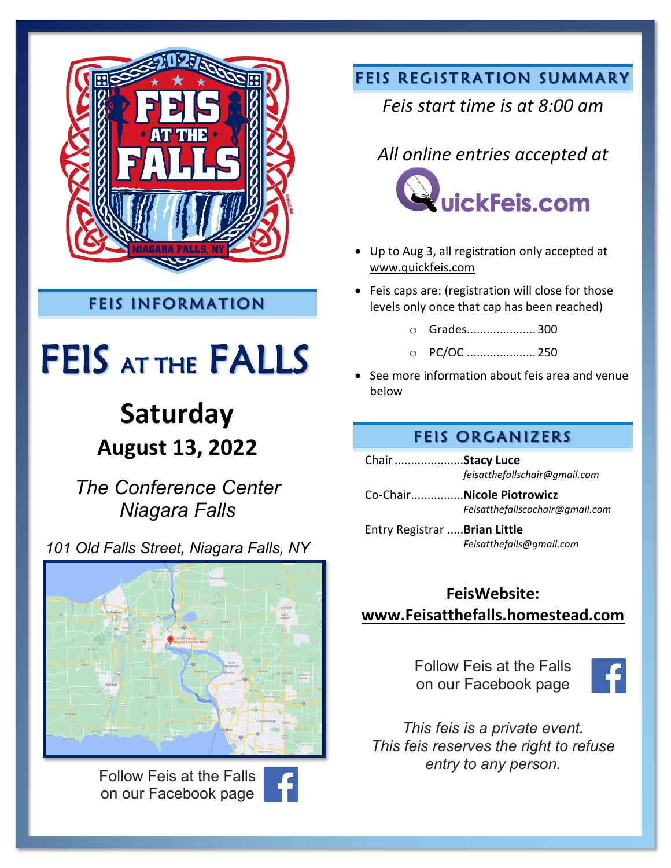

### FEIS INFORMATION

# FEIS AT THE FALLS

# **Saturday August 13, 2022**

*The Conference Center Niagara Falls*

*101 Old Falls Street, Niagara Falls, NY*



Follow Feis at the Falls on our Facebook page



### FEIS REGISTRATION SUMMARY

### *Feis start time is at 8:00 am*

### *All online entries accepted at*



- Up to Aug 3, all registration only accepted at [www.quickfeis.com](http://www.quickfeis.com/)
- Feis caps are: (registration will close for those levels only once that cap has been reached)
	- o Grades..................... 300
	- o PC/OC ..................... 250
- See more information about feis area and venue below

#### FEIS ORGANIZERS

Chair.....................**Stacy Luce** *feisatthefallschair@gmail.com*

Co-Chair................**Nicole Piotrowicz** *Feisatthefallscochair@gmail.com*

Entry Registrar .....**Brian Little** *Feisatthefalls@gmail.com*

### **FeisWebsite: [www.Feisatthefalls.homestead.com](http://www.feisatthefalls.homestead.com/)**

Follow Feis at the Falls on our Facebook page



*This feis is a private event. This feis reserves the right to refuse entry to any person.*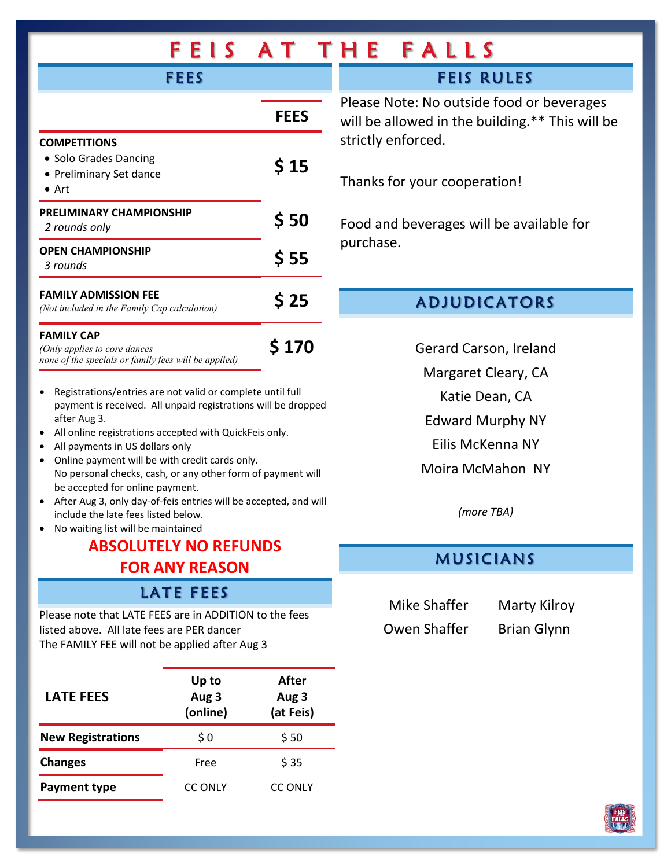| EIS<br>F                                                                                                                                                                                                                                                                                                                          |             | AT THE FALLS                                                                                 |
|-----------------------------------------------------------------------------------------------------------------------------------------------------------------------------------------------------------------------------------------------------------------------------------------------------------------------------------|-------------|----------------------------------------------------------------------------------------------|
| <b>FEES</b>                                                                                                                                                                                                                                                                                                                       |             | <b>FEIS RULES</b>                                                                            |
|                                                                                                                                                                                                                                                                                                                                   | <b>FEES</b> | Please Note: No outside food or beverages<br>will be allowed in the building.** This will be |
| <b>COMPETITIONS</b><br>• Solo Grades Dancing<br>• Preliminary Set dance<br>$\bullet$ Art                                                                                                                                                                                                                                          | \$15        | strictly enforced.<br>Thanks for your cooperation!                                           |
| PRELIMINARY CHAMPIONSHIP<br>2 rounds only                                                                                                                                                                                                                                                                                         | \$50        | Food and beverages will be available for                                                     |
| <b>OPEN CHAMPIONSHIP</b><br>3 rounds                                                                                                                                                                                                                                                                                              | \$55        | purchase.                                                                                    |
| <b>FAMILY ADMISSION FEE</b><br>(Not included in the Family Cap calculation)                                                                                                                                                                                                                                                       | \$25        | <b>ADJUDICATORS</b>                                                                          |
| <b>FAMILY CAP</b><br>(Only applies to core dances<br>none of the specials or family fees will be applied)                                                                                                                                                                                                                         | \$170       | Gerard Carson, Ireland<br>Margaret Cleary, CA                                                |
| Registrations/entries are not valid or complete until full<br>$\bullet$<br>payment is received. All unpaid registrations will be dropped<br>after Aug 3.<br>All online registrations accepted with QuickFeis only.<br>$\bullet$<br>All payments in US dollars only<br>Online payment will be with credit cards only.<br>$\bullet$ |             | Katie Dean, CA<br><b>Edward Murphy NY</b><br>Eilis McKenna NY<br>Moira McMahon NY            |
| No personal checks, cash, or any other form of payment will<br>be accepted for online payment.<br>After Aug 3, only day-of-feis entries will be accepted, and will<br>include the late fees listed below.<br>No waiting list will be maintained<br>ADCALLITELY NA DEELINING                                                       |             | (more TBA)                                                                                   |

### **ABSOLUTELY NO REFUNDS FOR ANY REASON**

#### LATE FEES

Please note that LATE FEES are in ADDITION to the fees listed above. All late fees are PER dancer The FAMILY FEE will not be applied after Aug 3

| <b>LATE FEES</b>         | Up to<br>Aug 3<br>(online) | After<br>Aug 3<br>(at Feis) |
|--------------------------|----------------------------|-----------------------------|
| <b>New Registrations</b> | \$0                        | \$50                        |
| <b>Changes</b>           | Free                       | \$35                        |
| Payment type             | <b>CC ONLY</b>             | <b>CC ONLY</b>              |

### MUSICIANS

Mike Shaffer Marty Kilroy Owen Shaffer Brian Glynn

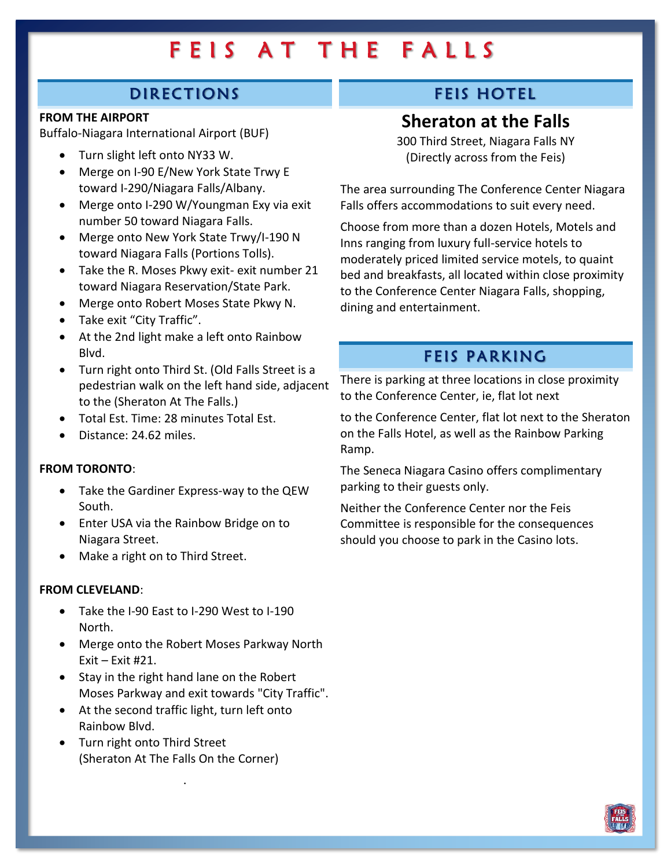### DIRECTIONS

#### **FROM THE AIRPORT**

Buffalo-Niagara International Airport (BUF)

- Turn slight left onto NY33 W.
- Merge on I-90 E/New York State Trwy E toward I-290/Niagara Falls/Albany.
- Merge onto I-290 W/Youngman Exy via exit number 50 toward Niagara Falls.
- Merge onto New York State Trwy/I-190 N toward Niagara Falls (Portions Tolls).
- Take the R. Moses Pkwy exit- exit number 21 toward Niagara Reservation/State Park.
- Merge onto Robert Moses State Pkwy N.
- Take exit "City Traffic".
- At the 2nd light make a left onto Rainbow Blvd.
- Turn right onto Third St. (Old Falls Street is a pedestrian walk on the left hand side, adjacent to the (Sheraton At The Falls.)
- Total Est. Time: 28 minutes Total Est.
- Distance: 24.62 miles.

#### **FROM TORONTO**:

- Take the Gardiner Express-way to the QEW South.
- Enter USA via the Rainbow Bridge on to Niagara Street.
- Make a right on to Third Street.

#### **FROM CLEVELAND**:

- Take the I-90 East to I-290 West to I-190 North.
- Merge onto the Robert Moses Parkway North Exit – Exit #21.
- Stay in the right hand lane on the Robert Moses Parkway and exit towards "City Traffic".
- At the second traffic light, turn left onto Rainbow Blvd.
- Turn right onto Third Street (Sheraton At The Falls On the Corner)

.

### FEIS HOTEL

### **Sheraton at the Falls**

300 Third Street, Niagara Falls NY (Directly across from the Feis)

The area surrounding The Conference Center Niagara Falls offers accommodations to suit every need.

Choose from more than a dozen Hotels, Motels and Inns ranging from luxury full-service hotels to moderately priced limited service motels, to quaint bed and breakfasts, all located within close proximity to the Conference Center Niagara Falls, shopping, dining and entertainment.

#### FEIS PARKING

There is parking at three locations in close proximity to the Conference Center, ie, flat lot next

to the Conference Center, flat lot next to the Sheraton on the Falls Hotel, as well as the Rainbow Parking Ramp.

The Seneca Niagara Casino offers complimentary parking to their guests only.

Neither the Conference Center nor the Feis Committee is responsible for the consequences should you choose to park in the Casino lots.

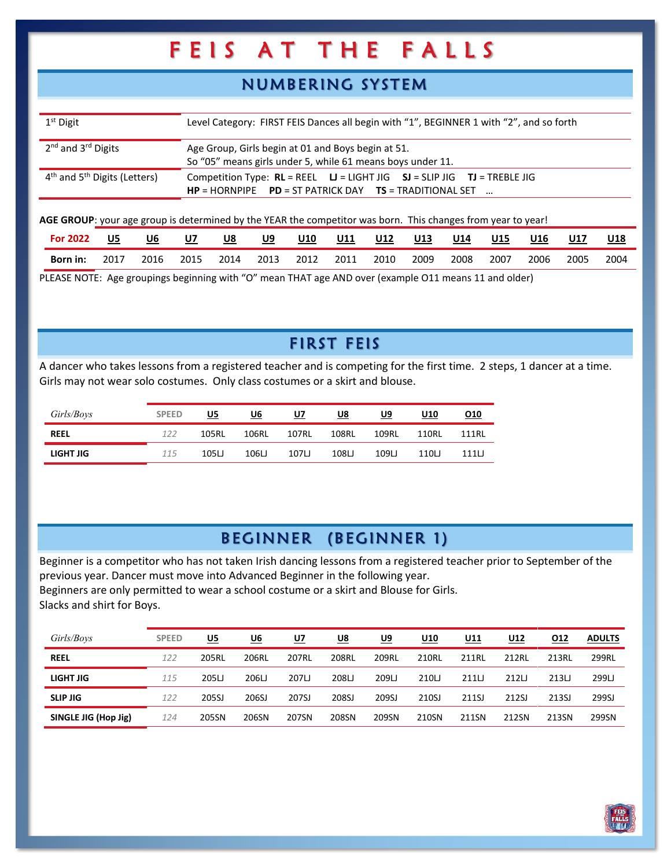### NUMBERING SY STEM

| $1st$ Digit                                | Level Category: FIRST FEIS Dances all begin with "1", BEGINNER 1 with "2", and so forth                                                      |
|--------------------------------------------|----------------------------------------------------------------------------------------------------------------------------------------------|
| 2 <sup>nd</sup> and 3 <sup>rd</sup> Digits | Age Group, Girls begin at 01 and Boys begin at 51.<br>So "05" means girls under 5, while 61 means boys under 11.                             |
| $4th$ and $5th$ Digits (Letters)           | Competition Type: $RL = REEL$ $LI = LIGHT JIG$ $SI = SLIP JIG$ $TI = TREBLE JIG$<br>$HP = HORNPIPE$ PD = ST PATRICK DAY TS = TRADITIONAL SET |

**AGE GROUP**: your age group is determined by the YEAR the competitor was born. This changes from year to year!

| For:<br>2022 | U5   | U6   | U7   | U8   | U9<br>_____ | <b>U10</b> | U11  | U12  | U13  | U14  | <b>U15</b> | U16  | U17  | U18  |
|--------------|------|------|------|------|-------------|------------|------|------|------|------|------------|------|------|------|
| Born in:     | 2017 | 2016 | 2015 | 2014 | 2013        | 2012       | 2011 | 2010 | 2009 | 2008 | 2007       | 2006 | 2005 | 2004 |

PLEASE NOTE: Age groupings beginning with "O" mean THAT age AND over (example O11 means 11 and older)

### FIRST FEIS

A dancer who takes lessons from a registered teacher and is competing for the first time. 2 steps, 1 dancer at a time. Girls may not wear solo costumes. Only class costumes or a skirt and blouse.

| Girls/Boys  | <b>SPEED</b> | U5    | U6    | U7    | U8    | U9    | U10   | 010   |
|-------------|--------------|-------|-------|-------|-------|-------|-------|-------|
| <b>REEL</b> | 122          | 105RL | 106RL | 107RL | 108RL | 109RL | 110RI | 111RL |
| LIGHT JIG   | 115          | 105LJ | 106LJ | 107LJ | 108LJ | 109L  | 110LJ | 111LJ |

### BEGINNER (BEGINNER 1)

Beginner is a competitor who has not taken Irish dancing lessons from a registered teacher prior to September of the previous year. Dancer must move into Advanced Beginner in the following year. Beginners are only permitted to wear a school costume or a skirt and Blouse for Girls. Slacks and shirt for Boys.

| Girls/Boys           | <b>SPEED</b> | U5    | U6    | <u>U7</u> | U8    | U9    | U10   | U11   | U12   | 012   | <b>ADULTS</b> |
|----------------------|--------------|-------|-------|-----------|-------|-------|-------|-------|-------|-------|---------------|
| <b>REEL</b>          | 122          | 205RL | 206RL | 207RL     | 208RL | 209RL | 210RL | 211RL | 212RL | 213RL | 299RL         |
| LIGHT JIG            | 115          | 205LJ | 206LJ | 207LJ     | 208LJ | 209LJ | 210LJ | 211L  | 212L  | 213L  | 299LJ         |
| <b>SLIP JIG</b>      | 122          | 205SJ | 206SJ | 207SJ     | 208SJ | 209SJ | 210SJ | 211SJ | 212SJ | 213SJ | 299SJ         |
| SINGLE JIG (Hop Jig) | 124          | 205SN | 206SN | 207SN     | 208SN | 209SN | 210SN | 211SN | 212SN | 213SN | 299SN         |

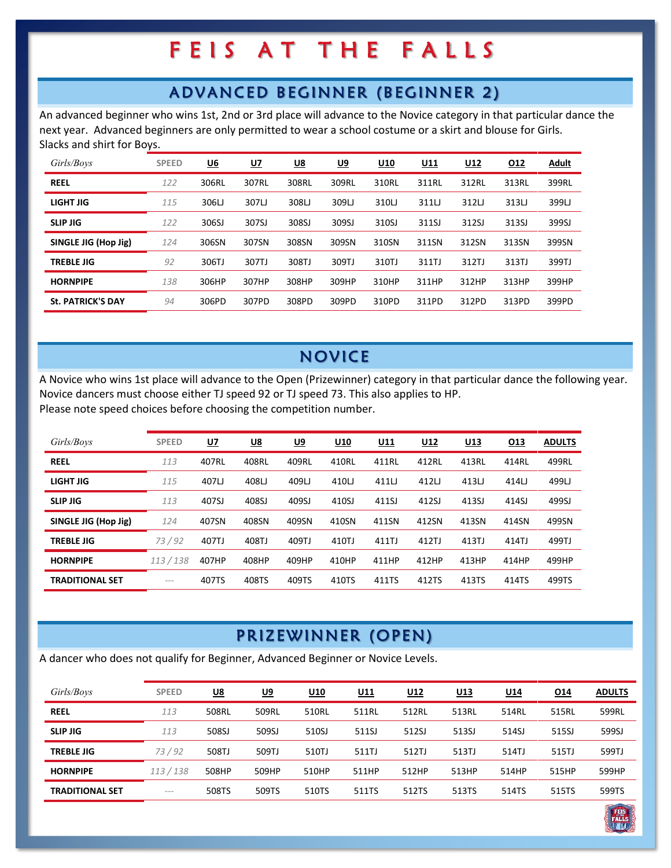### ADVANCED BEGINNER (BEGINNER 2)

An advanced beginner who wins 1st, 2nd or 3rd place will advance to the Novice category in that particular dance the next year. Advanced beginners are only permitted to wear a school costume or a skirt and blouse for Girls. Slacks and shirt for Boys.

| Girls/Boys               | <b>SPEED</b> | <u>U6</u> | <u>U7</u> | <u>U8</u> | <u>U9</u> | U <sub>10</sub> | <u>U11</u> | <u>U12</u> | <u>012</u> | <u>Adult</u> |
|--------------------------|--------------|-----------|-----------|-----------|-----------|-----------------|------------|------------|------------|--------------|
| <b>REEL</b>              | 122          | 306RL     | 307RL     | 308RL     | 309RL     | 310RL           | 311RL      | 312RL      | 313RL      | 399RL        |
| LIGHT JIG                | 115          | 306LJ     | 307LJ     | 308LJ     | 309LJ     | 310LJ           | 311LJ      | 312LJ      | 313LJ      | 399LJ        |
| <b>SLIP JIG</b>          | 122          | 306SJ     | 307SJ     | 308SJ     | 309SJ     | 310SJ           | 311SJ      | 312SJ      | 313SJ      | 399SJ        |
| SINGLE JIG (Hop Jig)     | 124          | 306SN     | 307SN     | 308SN     | 309SN     | 310SN           | 311SN      | 312SN      | 313SN      | 399SN        |
| <b>TREBLE JIG</b>        | 92           | 306TJ     | 307TJ     | 308TJ     | 309TJ     | 310TJ           | 311TJ      | 312TJ      | 313TJ      | 399TJ        |
| <b>HORNPIPE</b>          | 138          | 306HP     | 307HP     | 308HP     | 309HP     | 310HP           | 311HP      | 312HP      | 313HP      | 399HP        |
| <b>St. PATRICK'S DAY</b> | 94           | 306PD     | 307PD     | 308PD     | 309PD     | 310PD           | 311PD      | 312PD      | 313PD      | 399PD        |

### NOVICE

A Novice who wins 1st place will advance to the Open (Prizewinner) category in that particular dance the following year. Novice dancers must choose either TJ speed 92 or TJ speed 73. This also applies to HP. Please note speed choices before choosing the competition number.

| Girls/Boys             | <b>SPEED</b> | <u>U7</u> | <u>U8</u> | <u>U9</u> | U10   | <u>U11</u> | <u>U12</u> | <u>U13</u> | 013   | <b>ADULTS</b> |
|------------------------|--------------|-----------|-----------|-----------|-------|------------|------------|------------|-------|---------------|
| <b>REEL</b>            | 113          | 407RL     | 408RL     | 409RL     | 410RL | 411RL      | 412RL      | 413RL      | 414RL | 499RL         |
| LIGHT JIG              | 115          | 407LJ     | 408LJ     | 409LJ     | 410LJ | 411LJ      | 412LJ      | 413LJ      | 414LJ | 499LJ         |
| <b>SLIP JIG</b>        | 113          | 407SJ     | 408SJ     | 409SJ     | 410SJ | 411SJ      | 412SJ      | 413SJ      | 414SJ | 499SJ         |
| SINGLE JIG (Hop Jig)   | 124          | 407SN     | 408SN     | 409SN     | 410SN | 411SN      | 412SN      | 413SN      | 414SN | 499SN         |
| <b>TREBLE JIG</b>      | 73/92        | 407TJ     | 408TJ     | 409TJ     | 410TJ | 411TJ      | 412TJ      | 413TJ      | 414TJ | 499TJ         |
| <b>HORNPIPE</b>        | 113/138      | 407HP     | 408HP     | 409HP     | 410HP | 411HP      | 412HP      | 413HP      | 414HP | 499HP         |
| <b>TRADITIONAL SET</b> | $= - -$      | 407TS     | 408TS     | 409TS     | 410TS | 411TS      | 412TS      | 413TS      | 414TS | 499TS         |

### PRIZ EWINNER (OPEN)

A dancer who does not qualify for Beginner, Advanced Beginner or Novice Levels.

| Girls/Boys             | <b>SPEED</b> | <u>U8</u> | <u>U9</u> | <u>U10</u> | <u>U11</u> | U <sub>12</sub> | U <sub>13</sub> | U <sub>14</sub> | <u>014</u> | <b>ADULTS</b> |
|------------------------|--------------|-----------|-----------|------------|------------|-----------------|-----------------|-----------------|------------|---------------|
|                        |              |           |           |            |            |                 |                 |                 |            |               |
| <b>REEL</b>            | 113          | 508RL     | 509RL     | 510RL      | 511RL      | 512RL           | 513RL           | 514RL           | 515RL      | 599RL         |
| <b>SLIP JIG</b>        | 113          | 508SJ     | 509SJ     | 510SJ      | 511SJ      | 512SJ           | 513SJ           | 514SJ           | 515SJ      | 599SJ         |
| <b>TREBLE JIG</b>      | 73/92        | 508TJ     | 509TJ     | 510TJ      | 511TJ      | 512TJ           | 513TJ           | 514TJ           | 515TJ      | 599TJ         |
| <b>HORNPIPE</b>        | 113/138      | 508HP     | 509HP     | 510HP      | 511HP      | 512HP           | 513HP           | 514HP           | 515HP      | 599HP         |
| <b>TRADITIONAL SET</b> | $---$        | 508TS     | 509TS     | 510TS      | 511TS      | 512TS           | 513TS           | 514TS           | 515TS      | 599TS         |

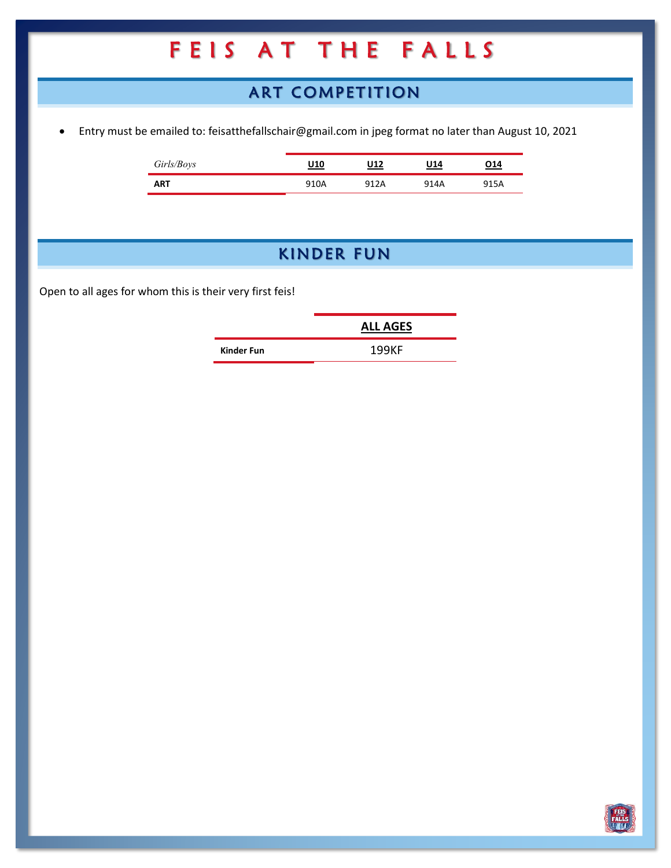### ART COMPETITION

• Entry must be emailed to: feisatthefallschair@gmail.com in jpeg format no later than August 10, 2021

| Girls/Boys | U10  | U12  | J14  | 14 ( |
|------------|------|------|------|------|
| <b>ART</b> | 910A | 912A | 914A | 915A |

### KINDER FUN

Open to all ages for whom this is their very first feis!

|            | <b>ALL AGES</b> |
|------------|-----------------|
| Kinder Fun | 199KF           |
|            |                 |

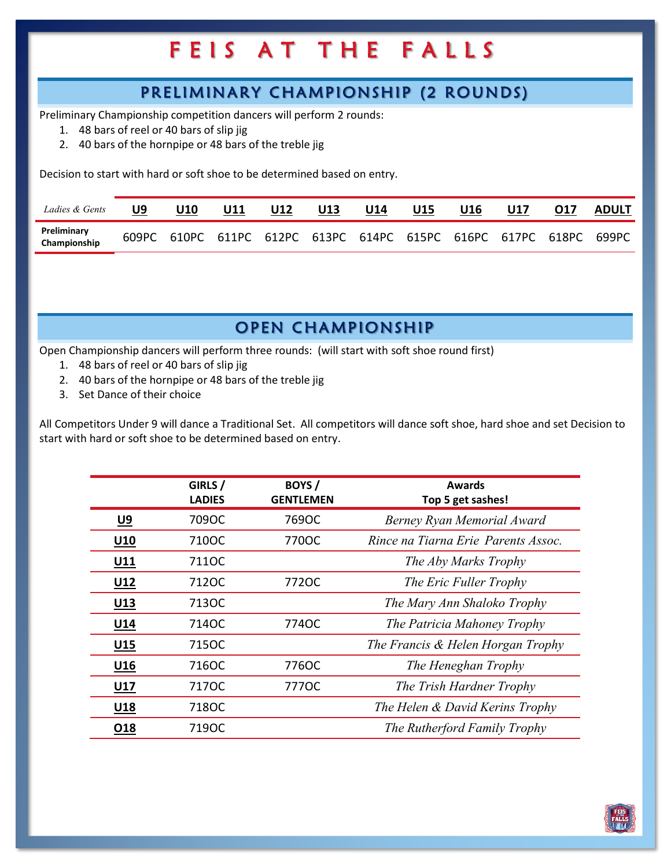### PRELIMINARY CHAMPIONSHIP (2 ROUNDS)

Preliminary Championship competition dancers will perform 2 rounds:

- 1. 48 bars of reel or 40 bars of slip jig
- 2. 40 bars of the hornpipe or 48 bars of the treble jig

Decision to start with hard or soft shoe to be determined based on entry.

| Ladies & Gents              | U9 | U10 | U11                                                               | U12 | U13 | U14 | U15 | U16 | U17 | 017 | <u>ADULT</u> |
|-----------------------------|----|-----|-------------------------------------------------------------------|-----|-----|-----|-----|-----|-----|-----|--------------|
| Preliminary<br>Championship |    |     | 609PC 610PC 611PC 612PC 613PC 614PC 615PC 616PC 617PC 618PC 699PC |     |     |     |     |     |     |     |              |

### OPEN CHAMPIONSHIP

Open Championship dancers will perform three rounds: (will start with soft shoe round first)

- 1. 48 bars of reel or 40 bars of slip jig
- 2. 40 bars of the hornpipe or 48 bars of the treble jig
- 3. Set Dance of their choice

All Competitors Under 9 will dance a Traditional Set. All competitors will dance soft shoe, hard shoe and set Decision to start with hard or soft shoe to be determined based on entry.

|                 | GIRLS /<br><b>LADIES</b> | BOYS/<br><b>GENTLEMEN</b> | <b>Awards</b>                        |
|-----------------|--------------------------|---------------------------|--------------------------------------|
|                 |                          |                           | Top 5 get sashes!                    |
| <u>U9</u>       | 709OC                    | 769OC                     | Berney Ryan Memorial Award           |
| U <sub>10</sub> | 710OC                    | 770OC                     | Rince na Tiarna Erie, Parents Assoc. |
| U11             | 711OC                    |                           | The Aby Marks Trophy                 |
| U <sub>12</sub> | 712OC                    | 772OC                     | The Eric Fuller Trophy               |
| $U13$           | 713OC                    |                           | The Mary Ann Shaloko Trophy          |
| U14             | 714OC                    | 774OC                     | The Patricia Mahoney Trophy          |
| U <sub>15</sub> | 715OC                    |                           | The Francis & Helen Horgan Trophy    |
| U <sub>16</sub> | 716OC                    | 776OC                     | The Heneghan Trophy                  |
| U17             | 7170C                    | 7770C                     | The Trish Hardner Trophy             |
| U <sub>18</sub> | 718OC                    |                           | The Helen & David Kerins Trophy      |
| O18             | 719OC                    |                           | The Rutherford Family Trophy         |

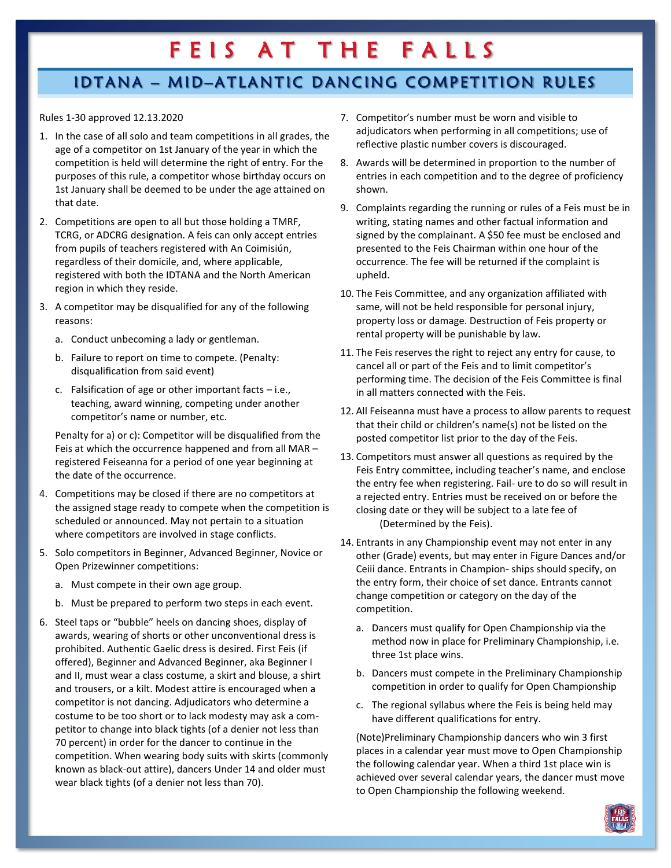### IDTANA – MID–ATLANTIC DANCING COMPETITION RULES

Rules 1-30 approved 12.13.2020

- 1. In the case of all solo and team competitions in all grades, the age of a competitor on 1st January of the year in which the competition is held will determine the right of entry. For the purposes of this rule, a competitor whose birthday occurs on 1st January shall be deemed to be under the age attained on that date.
- 2. Competitions are open to all but those holding a TMRF, TCRG, or ADCRG designation. A feis can only accept entries from pupils of teachers registered with An Coimisiún, regardless of their domicile, and, where applicable, registered with both the IDTANA and the North American region in which they reside.
- 3. A competitor may be disqualified for any of the following reasons:
	- a. Conduct unbecoming a lady or gentleman.
	- b. Failure to report on time to compete. (Penalty: disqualification from said event)
	- c. Falsification of age or other important facts i.e., teaching, award winning, competing under another competitor's name or number, etc.

Penalty for a) or c): Competitor will be disqualified from the Feis at which the occurrence happened and from all MAR – registered Feiseanna for a period of one year beginning at the date of the occurrence.

- 4. Competitions may be closed if there are no competitors at the assigned stage ready to compete when the competition is scheduled or announced. May not pertain to a situation where competitors are involved in stage conflicts.
- 5. Solo competitors in Beginner, Advanced Beginner, Novice or Open Prizewinner competitions:
	- a. Must compete in their own age group.
	- b. Must be prepared to perform two steps in each event.
- 6. Steel taps or "bubble" heels on dancing shoes, display of awards, wearing of shorts or other unconventional dress is prohibited. Authentic Gaelic dress is desired. First Feis (if offered), Beginner and Advanced Beginner, aka Beginner I and II, must wear a class costume, a skirt and blouse, a shirt and trousers, or a kilt. Modest attire is encouraged when a competitor is not dancing. Adjudicators who determine a costume to be too short or to lack modesty may ask a competitor to change into black tights (of a denier not less than 70 percent) in order for the dancer to continue in the competition. When wearing body suits with skirts (commonly known as black-out attire), dancers Under 14 and older must wear black tights (of a denier not less than 70).
- 7. Competitor's number must be worn and visible to adjudicators when performing in all competitions; use of reflective plastic number covers is discouraged.
- 8. Awards will be determined in proportion to the number of entries in each competition and to the degree of proficiency shown.
- 9. Complaints regarding the running or rules of a Feis must be in writing, stating names and other factual information and signed by the complainant. A \$50 fee must be enclosed and presented to the Feis Chairman within one hour of the occurrence. The fee will be returned if the complaint is upheld.
- 10. The Feis Committee, and any organization affiliated with same, will not be held responsible for personal injury, property loss or damage. Destruction of Feis property or rental property will be punishable by law.
- 11. The Feis reserves the right to reject any entry for cause, to cancel all or part of the Feis and to limit competitor's performing time. The decision of the Feis Committee is final in all matters connected with the Feis.
- 12. All Feiseanna must have a process to allow parents to request that their child or children's name(s) not be listed on the posted competitor list prior to the day of the Feis.
- 13. Competitors must answer all questions as required by the Feis Entry committee, including teacher's name, and enclose the entry fee when registering. Fail- ure to do so will result in a rejected entry. Entries must be received on or before the closing date or they will be subject to a late fee of (Determined by the Feis).
- 14. Entrants in any Championship event may not enter in any other (Grade) events, but may enter in Figure Dances and/or Ceiii dance. Entrants in Champion- ships should specify, on the entry form, their choice of set dance. Entrants cannot change competition or category on the day of the competition.
	- a. Dancers must qualify for Open Championship via the method now in place for Preliminary Championship, i.e. three 1st place wins.
	- b. Dancers must compete in the Preliminary Championship competition in order to qualify for Open Championship
	- c. The regional syllabus where the Feis is being held may have different qualifications for entry.

(Note)Preliminary Championship dancers who win 3 first places in a calendar year must move to Open Championship the following calendar year. When a third 1st place win is achieved over several calendar years, the dancer must move to Open Championship the following weekend.